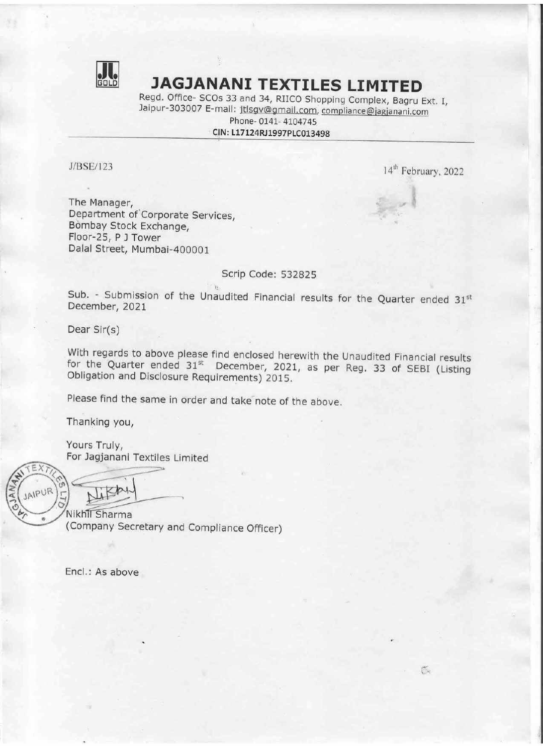

## **FRIDER JAGJANANI TEXTILES LIMITED**<br>Regd. Office- SCOs 33 and 34, RIICO Shopping Complex, Bagru Ext. I,

Jaipur-303007 E-mail: jtlsgv@gmail.com, compliance@jagjanani.com Phone- 0141- 4104745 **JAGJANANI TI**<br>Regd. Office- SCOs 33 and 34,<br>Jaipur-303007 E-mail: jtlsgv@<br>Phone- 014<br>CIN: L17124RJ1

## CIN: L17124RJ1997PLC013498

J/BSE/123 14<sup>th</sup> February, 2022

Ğ.

The Manager, Department of Corporate Services, Bombay Stock Exchange, Floor-25, P J Tower Dalal Street, Mumbai-400001

## Scrip Code: 532825

Sub. - Submission of the Unaudited Financial results for the Quarter ended  $31<sup>st</sup>$ December, 2021

Dear Sir(s)

With regards to above please find enclosed herewith the Unaudited Financial results for the Quarter ended 31<sup>st</sup> December, 2021, as per Reg. 33 of SEBI (Listing Obligation and Disclosure Requirements) 2015.

Please find the same in order and take note of the above.

Thanking you,

Yours Truly, For Jagjanani Textiles Limited ———

EX RATT

Nikhil Sharma (Company Secretary and Compliance Officer)

Encl.: As above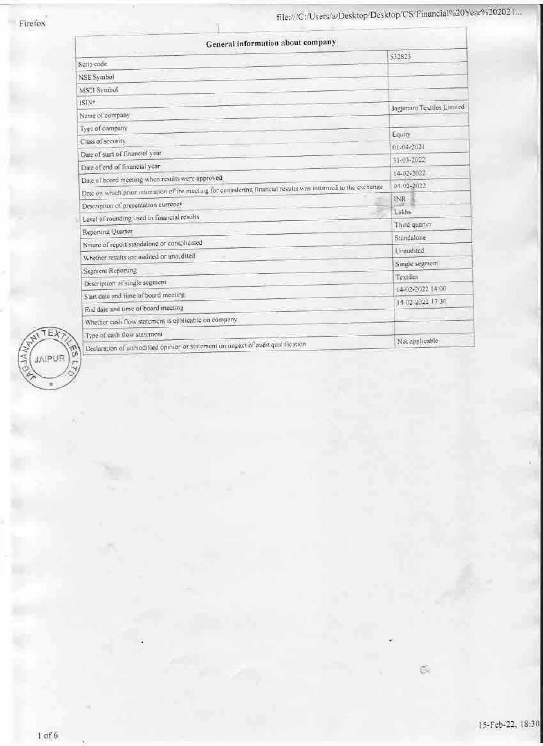| General information about company                                                                            |                            |
|--------------------------------------------------------------------------------------------------------------|----------------------------|
| Serip code                                                                                                   | 532825                     |
| <b>NSE Symbol</b>                                                                                            |                            |
| MSEI Symbol                                                                                                  |                            |
| ISIN*                                                                                                        |                            |
| Name of company                                                                                              | Jagjanani Textiles Limited |
| Type of company                                                                                              |                            |
| Class of security                                                                                            | Equity:                    |
| Date of start of financial year                                                                              | 01-04-2021                 |
| Date of end of financial year                                                                                | 31-03-2022                 |
| Date of board meeting when results were approved                                                             | 14-02-2022                 |
| Date on which prior intimation of the meeting for considering financial results was informed to the exchange | 04-02-2022                 |
| Description of presentation currency                                                                         | <b>INR</b>                 |
| Level of rounding used in financial results                                                                  | Lakhs                      |
| Reporting Quarter                                                                                            | Third quarter              |
| Nature of report standalone or consolidated                                                                  | Standalone                 |
| Whether results are audited or unaudited                                                                     | Unaudited                  |
| Segment Reporting                                                                                            | Single segment             |
| Description of single segment                                                                                | <b>Textiles</b>            |
| Start date and time of board meeting                                                                         | (4-02-2022 14:00           |
| End date and time of board inecting                                                                          | 14-02-2022 17:30           |
| Whether eash flow statement is applicable on company                                                         |                            |
| Type of eash flow statement                                                                                  |                            |
| Declaration of unmodified opinion or statement on impact of audit qualification                              | Not applicable             |

 $\sqrt{TEX}$  $\tilde{\omega}$ JAIPUR Ś

 $\widetilde{\otimes}$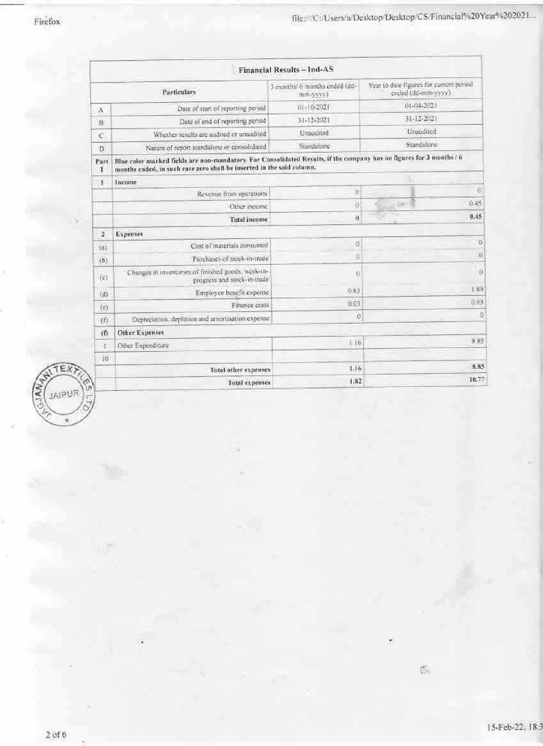|                |                                                                                                                                                                                               | <b>Financial Results-Ind-AS</b>           |                                                               |                     |
|----------------|-----------------------------------------------------------------------------------------------------------------------------------------------------------------------------------------------|-------------------------------------------|---------------------------------------------------------------|---------------------|
|                | Particulars                                                                                                                                                                                   | 3 months/ 6 months ended (dd-<br>mm-yvvy) | Year to date figures for current period<br>ended (dd-mm-yyyy) |                     |
| $\Lambda$      | Date of start of reporting period                                                                                                                                                             | $01 - 10 - 202$                           | 01-04-2021                                                    |                     |
| B              | Date of end of reporting period                                                                                                                                                               | $31 - 12 - 2021$                          | 31-12-2021                                                    |                     |
| C              | Whether results are audited or unaudited                                                                                                                                                      | Unaudited                                 | Unaudited                                                     |                     |
| Þ              | Nature of report standalone or consolidated                                                                                                                                                   | Siandalone                                | Standalone                                                    |                     |
| Part<br>1      | Blue color marked fields are non-mandatory. For Consolidated Results, if the company has no figures for 3 months / 6<br>months ended, in such case zero shall be inserted in the said column. |                                           |                                                               |                     |
| 1              | Income                                                                                                                                                                                        |                                           |                                                               |                     |
|                | Revenue from operations                                                                                                                                                                       | Ū                                         |                                                               | $\langle 0 \rangle$ |
|                | Other income                                                                                                                                                                                  | ö                                         | DK                                                            | 0.45                |
|                | <b>Total</b> income                                                                                                                                                                           | $\bf{0}$                                  |                                                               | 0.45                |
| $\overline{2}$ | <b>Expenses</b>                                                                                                                                                                               |                                           |                                                               |                     |
| (3)            | Cost of materials consumed                                                                                                                                                                    | ö                                         |                                                               | X)                  |
| (b)            | Purchases of stock-in-trade                                                                                                                                                                   | $\vec{\Omega}$                            |                                                               | $\Omega$            |
| $(\varsigma)$  | Changes in inventories of finished goods, work-in-<br>progress and stock-in-trade                                                                                                             | 10                                        |                                                               | $\langle 0 \rangle$ |
| (d)            | Employee benefit expense                                                                                                                                                                      | 0.63                                      |                                                               | 1:89                |
| (c)            | Finance costs                                                                                                                                                                                 | 0.03                                      |                                                               | 0.03                |
| (f)            | Depreciation, depletion and amortisation expense                                                                                                                                              | 0                                         |                                                               | $\overline{a}$      |
| (0)            | <b>Other Expenses</b>                                                                                                                                                                         |                                           |                                                               |                     |
| r              | Other Expenditure                                                                                                                                                                             | 1.16                                      |                                                               | 8.85                |
| 10             |                                                                                                                                                                                               |                                           |                                                               |                     |
|                | Total other expenses                                                                                                                                                                          | 1.16                                      |                                                               | 8.85                |
|                | <b>Total expenses</b>                                                                                                                                                                         | 1.82                                      |                                                               | 10.77               |



 $\tilde{\odot}$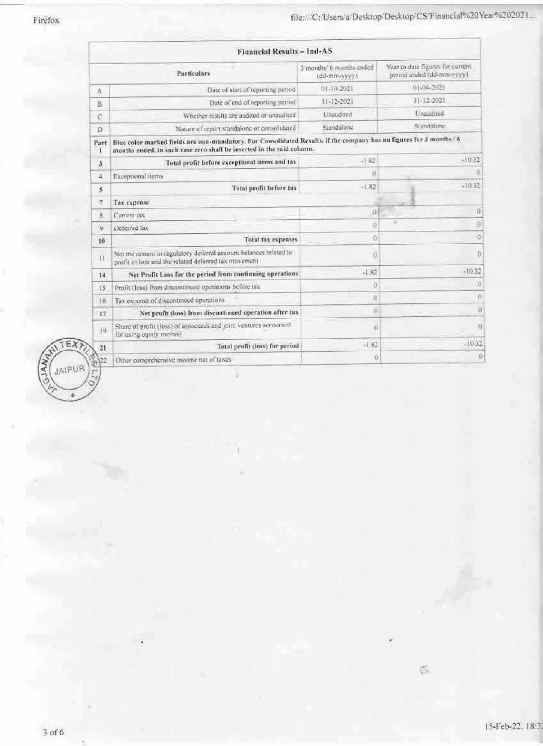|                         | <b>Financial Results - Ind-AS</b>                                                                                                                                                             |                                                         |                                                                |
|-------------------------|-----------------------------------------------------------------------------------------------------------------------------------------------------------------------------------------------|---------------------------------------------------------|----------------------------------------------------------------|
|                         | Particulars                                                                                                                                                                                   | 3 months/ 6 months ended<br>$(dd\text{-}\text{mm-}vyy)$ | Year to date figures for current<br>period ended (dd-mm-vyyy). |
| A                       | Date of start of reporting period                                                                                                                                                             | 01-10-2021                                              | 01-04-2021                                                     |
| B                       | Date of end of reporting period                                                                                                                                                               | $3[-12-202]$                                            | $31 - 12 - 2021$                                               |
| $\overline{C}$          | Whether results are audited or unaudited                                                                                                                                                      | Unaudited                                               | <b>L</b> naudited                                              |
| Đ                       | Nature of report standalone or consolidated                                                                                                                                                   | Standalone                                              | Standalone                                                     |
| Part<br>Ŧ               | Blue color marked fields are non-mandatory. For Consolidated Results. if the company has no figures for 3 months / 6<br>months ended, in such case zero shall be inserted in the said column. |                                                         |                                                                |
| 3                       | Total profit before exceptional items and tax                                                                                                                                                 | $-1.82$                                                 | $-10.32$                                                       |
| 溪                       | Exceptional items                                                                                                                                                                             | ū                                                       |                                                                |
| 5                       | Total profit before tax                                                                                                                                                                       | $-1.82$                                                 | $-10.32$                                                       |
| $\overline{7}$          | Tax expense                                                                                                                                                                                   |                                                         |                                                                |
| $\overline{\mathbf{8}}$ | Current tax                                                                                                                                                                                   | ital.                                                   | Ö                                                              |
| $\Theta$                | Deferred tax                                                                                                                                                                                  | ŏ                                                       | ó<br>×                                                         |
| 10                      | Total tax expenses                                                                                                                                                                            | ö                                                       | ö                                                              |
| $\mathbf{H}$            | Net movement in regulatory deferral account balances related to<br>profit or loss and the related deferred tax movement                                                                       | ò                                                       | ö                                                              |
| 14                      | Net Profit Loss for the period from continuing operations                                                                                                                                     | $-1.82$                                                 | $-10.32$                                                       |
| .15                     | Profit (loss) from discontinued operations before tax                                                                                                                                         | ö                                                       | ï0                                                             |
| 16                      | Tax expense of discontinued operations                                                                                                                                                        | ū                                                       | $\theta$                                                       |
| 17                      | Net profit (loss) from discontinued operation after tax                                                                                                                                       | ö                                                       | ō                                                              |
| $19 -$                  | Share of profit (loss) of associates and joint ventures accounted<br>for using equity method                                                                                                  | ŭ                                                       | ó                                                              |
| 21                      | Total profit (loss) for period                                                                                                                                                                | $-182$                                                  | $-1032$                                                        |
| 122                     | Other comprehensive income net of taxes                                                                                                                                                       | Ü                                                       | o                                                              |

Ÿ.



 $\widetilde{\otimes}$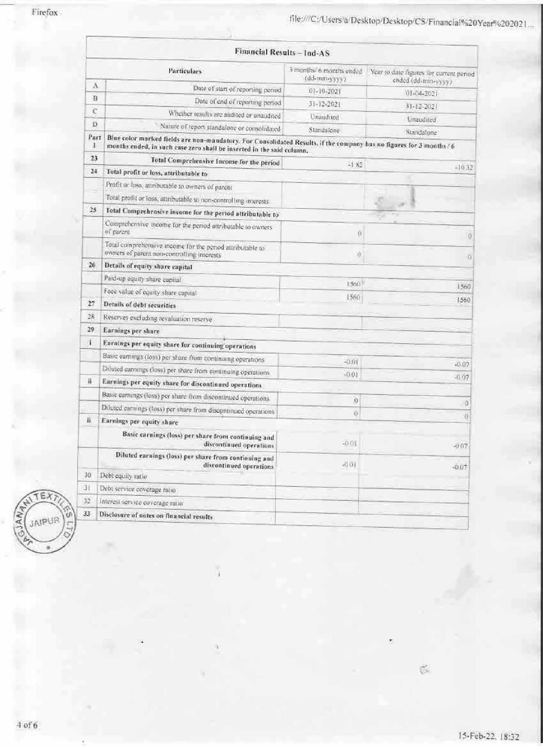|           | <b>Financial Results - Ind-AS</b>                                                                                                                                                             |                                         |                                                               |
|-----------|-----------------------------------------------------------------------------------------------------------------------------------------------------------------------------------------------|-----------------------------------------|---------------------------------------------------------------|
|           | <b>Particulars</b>                                                                                                                                                                            | 3 months/6 months ended<br>(dd-mm-yyyy) | Year to date figures for current period<br>ended (dd-mm-yyyy) |
| A         | Date of start of reporting period                                                                                                                                                             | $01 - 10 - 2021$                        | $01 - 04 - 2021$                                              |
| B         | Date of end of reporting period                                                                                                                                                               | 31-12-2021                              | $31.12 - 2021$                                                |
| Ċ         | Whether results are audited or unaudited                                                                                                                                                      | Unaudited                               | Unaudited                                                     |
| Đ         | Nature of report standalone or consolidated                                                                                                                                                   | Standalone                              | Standalone                                                    |
| Part<br>x | Blue color marked fields are non-mandatory. For Consolidated Results, if the company has no figures for 3 months / 6<br>months ended, in such case zero shall be inserted in the said column. |                                         |                                                               |
| 23        | Total Comprehensive Income for the period                                                                                                                                                     | $-1.82$                                 | $-10.32$                                                      |
| 24        | Total profit or loss, attributable to                                                                                                                                                         |                                         |                                                               |
|           | Profit or loss, attributable to owners of parent<br>Total profit or loss, attributable to non-controlling interests.                                                                          |                                         |                                                               |
| 25        | Total Comprehensive income for the period attributable to                                                                                                                                     |                                         |                                                               |
|           | Comprehensive income for the period attributable to owners<br>of parent                                                                                                                       | Ø                                       | ø                                                             |
|           | Total comprehensive income for the period attributable to<br>owners of parent non-controlling interests                                                                                       | ŭ                                       | O.                                                            |
| 26.       | Details of equity share capital                                                                                                                                                               |                                         |                                                               |
|           | Paid-up equity share capital                                                                                                                                                                  | 1560.                                   |                                                               |
|           | Face value of equity share capital                                                                                                                                                            | 1560                                    | 1560                                                          |
| 27        | Details of debt securities                                                                                                                                                                    |                                         | 1560                                                          |
| 28        | Reserves excluding revaluation reserve                                                                                                                                                        |                                         |                                                               |
| 29        | Earnings per share                                                                                                                                                                            |                                         |                                                               |
| Ŧ         | Earnings per equity share for continuing operations                                                                                                                                           |                                         |                                                               |
|           | Basic earnings (loss) per share from continuing operations                                                                                                                                    | $-0.01$                                 |                                                               |
|           | Diluted earnings (loss) per share from continuing operations                                                                                                                                  | $-0.01$                                 | $-0.07$                                                       |
| 荘         | Earnings per equity share for discontinued operations                                                                                                                                         |                                         | $-0.07$                                                       |
|           | Basic earnings (loss) per share from discontinued operations                                                                                                                                  | $\theta$                                |                                                               |
|           | Diluted earnings (loss) per share from discontinued operations                                                                                                                                | õ                                       | Ő                                                             |
| ii.       | Earnings per equity share                                                                                                                                                                     |                                         | Ð                                                             |
|           | Basic earnings (loss) per share from continuing and<br>discontinued operations                                                                                                                | $-0.01$                                 | $-0.07$                                                       |
|           | Diluted earnings (loss) per share from continuing and<br>discontinued operations                                                                                                              | $-0.01$                                 | $-0.07$                                                       |
| 30        | Debt equity ratio                                                                                                                                                                             |                                         |                                                               |
| 31        | Debt service coverage ratio                                                                                                                                                                   |                                         |                                                               |
| 32        | Interest service coverage ratio.                                                                                                                                                              |                                         |                                                               |
| 33        | Disclosure of notes on financial results                                                                                                                                                      |                                         |                                                               |



 $\widetilde{\mathcal{D}}$